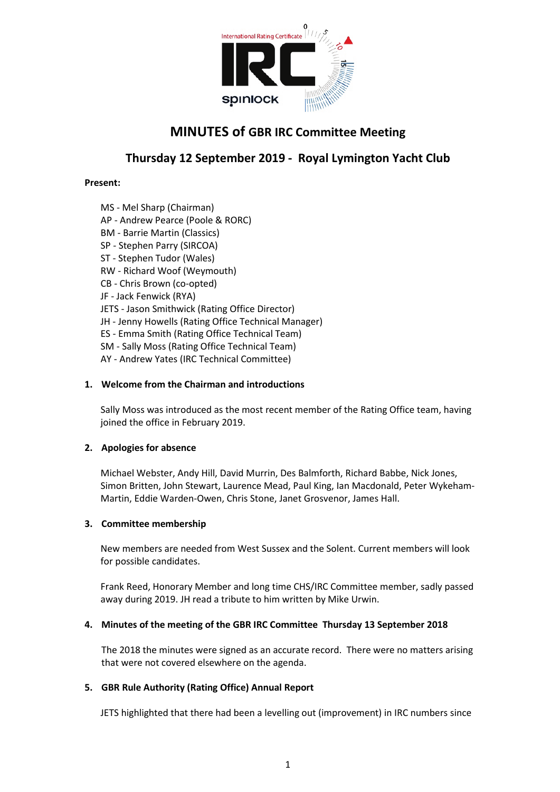

# **MINUTES of GBR IRC Committee Meeting**

## **Thursday 12 September 2019 - Royal Lymington Yacht Club**

## **Present:**

MS - Mel Sharp (Chairman) AP - Andrew Pearce (Poole & RORC) BM - Barrie Martin (Classics) SP - Stephen Parry (SIRCOA) ST - Stephen Tudor (Wales) RW - Richard Woof (Weymouth) CB - Chris Brown (co-opted) JF - Jack Fenwick (RYA) JETS - Jason Smithwick (Rating Office Director) JH - Jenny Howells (Rating Office Technical Manager) ES - Emma Smith (Rating Office Technical Team) SM - Sally Moss (Rating Office Technical Team) AY - Andrew Yates (IRC Technical Committee)

## **1. Welcome from the Chairman and introductions**

Sally Moss was introduced as the most recent member of the Rating Office team, having joined the office in February 2019.

#### **2. Apologies for absence**

Michael Webster, Andy Hill, David Murrin, Des Balmforth, Richard Babbe, Nick Jones, Simon Britten, John Stewart, Laurence Mead, Paul King, Ian Macdonald, Peter Wykeham-Martin, Eddie Warden-Owen, Chris Stone, Janet Grosvenor, James Hall.

#### **3. Committee membership**

New members are needed from West Sussex and the Solent. Current members will look for possible candidates.

Frank Reed, Honorary Member and long time CHS/IRC Committee member, sadly passed away during 2019. JH read a tribute to him written by Mike Urwin.

## **4. Minutes of the meeting of the GBR IRC Committee Thursday 13 September 2018**

The 2018 the minutes were signed as an accurate record. There were no matters arising that were not covered elsewhere on the agenda.

## **5. GBR Rule Authority (Rating Office) Annual Report**

JETS highlighted that there had been a levelling out (improvement) in IRC numbers since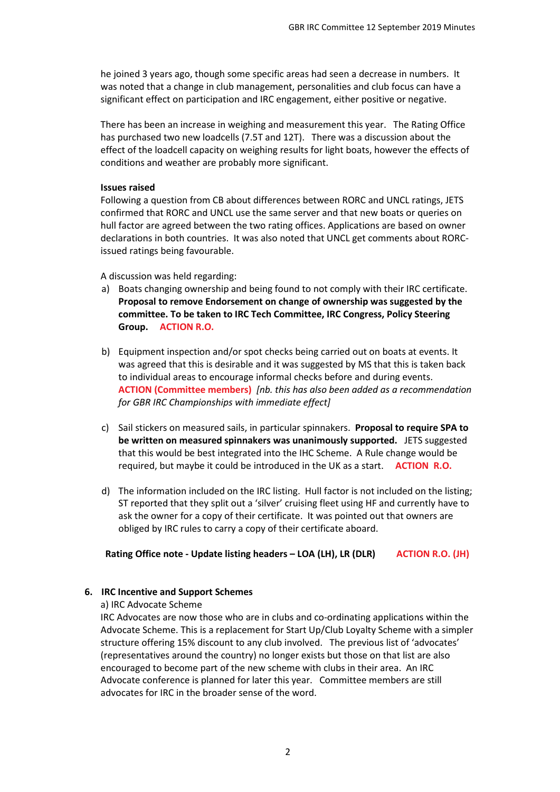he joined 3 years ago, though some specific areas had seen a decrease in numbers. It was noted that a change in club management, personalities and club focus can have a significant effect on participation and IRC engagement, either positive or negative.

There has been an increase in weighing and measurement this year. The Rating Office has purchased two new loadcells (7.5T and 12T). There was a discussion about the effect of the loadcell capacity on weighing results for light boats, however the effects of conditions and weather are probably more significant.

#### **Issues raised**

Following a question from CB about differences between RORC and UNCL ratings, JETS confirmed that RORC and UNCL use the same server and that new boats or queries on hull factor are agreed between the two rating offices. Applications are based on owner declarations in both countries. It was also noted that UNCL get comments about RORCissued ratings being favourable.

A discussion was held regarding:

- a) Boats changing ownership and being found to not comply with their IRC certificate. **Proposal to remove Endorsement on change of ownership was suggested by the committee. To be taken to IRC Tech Committee, IRC Congress, Policy Steering Group. ACTION R.O.**
- b) Equipment inspection and/or spot checks being carried out on boats at events. It was agreed that this is desirable and it was suggested by MS that this is taken back to individual areas to encourage informal checks before and during events. **ACTION (Committee members)** *[nb. this has also been added as a recommendation for GBR IRC Championships with immediate effect]*
- c) Sail stickers on measured sails, in particular spinnakers. **Proposal to require SPA to be written on measured spinnakers was unanimously supported.** JETS suggested that this would be best integrated into the IHC Scheme. A Rule change would be required, but maybe it could be introduced in the UK as a start. **ACTION R.O.**
- d) The information included on the IRC listing. Hull factor is not included on the listing; ST reported that they split out a 'silver' cruising fleet using HF and currently have to ask the owner for a copy of their certificate. It was pointed out that owners are obliged by IRC rules to carry a copy of their certificate aboard.

**Rating Office note - Update listing headers – LOA (LH), LR (DLR) ACTION R.O. (JH)**

#### **6. IRC Incentive and Support Schemes**

a) IRC Advocate Scheme

IRC Advocates are now those who are in clubs and co-ordinating applications within the Advocate Scheme. This is a replacement for Start Up/Club Loyalty Scheme with a simpler structure offering 15% discount to any club involved. The previous list of 'advocates' (representatives around the country) no longer exists but those on that list are also encouraged to become part of the new scheme with clubs in their area. An IRC Advocate conference is planned for later this year. Committee members are still advocates for IRC in the broader sense of the word.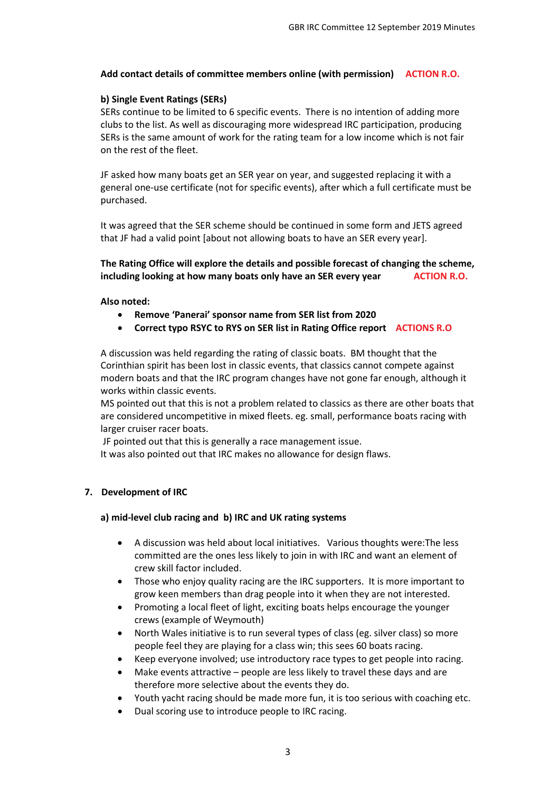## **Add contact details of committee members online (with permission) ACTION R.O.**

## **b) Single Event Ratings (SERs)**

SERs continue to be limited to 6 specific events. There is no intention of adding more clubs to the list. As well as discouraging more widespread IRC participation, producing SERs is the same amount of work for the rating team for a low income which is not fair on the rest of the fleet.

JF asked how many boats get an SER year on year, and suggested replacing it with a general one-use certificate (not for specific events), after which a full certificate must be purchased.

It was agreed that the SER scheme should be continued in some form and JETS agreed that JF had a valid point [about not allowing boats to have an SER every year].

**The Rating Office will explore the details and possible forecast of changing the scheme, including looking at how many boats only have an SER every year ACTION R.O.** 

#### **Also noted:**

- **Remove 'Panerai' sponsor name from SER list from 2020**
- **Correct typo RSYC to RYS on SER list in Rating Office report ACTIONS R.O**

A discussion was held regarding the rating of classic boats. BM thought that the Corinthian spirit has been lost in classic events, that classics cannot compete against modern boats and that the IRC program changes have not gone far enough, although it works within classic events.

MS pointed out that this is not a problem related to classics as there are other boats that are considered uncompetitive in mixed fleets. eg. small, performance boats racing with larger cruiser racer boats.

JF pointed out that this is generally a race management issue.

It was also pointed out that IRC makes no allowance for design flaws.

#### **7. Development of IRC**

#### **a) mid-level club racing and b) IRC and UK rating systems**

- A discussion was held about local initiatives. Various thoughts were:The less committed are the ones less likely to join in with IRC and want an element of crew skill factor included.
- Those who enjoy quality racing are the IRC supporters. It is more important to grow keen members than drag people into it when they are not interested.
- Promoting a local fleet of light, exciting boats helps encourage the younger crews (example of Weymouth)
- North Wales initiative is to run several types of class (eg. silver class) so more people feel they are playing for a class win; this sees 60 boats racing.
- Keep everyone involved; use introductory race types to get people into racing.
- Make events attractive people are less likely to travel these days and are therefore more selective about the events they do.
- Youth yacht racing should be made more fun, it is too serious with coaching etc.
- Dual scoring use to introduce people to IRC racing.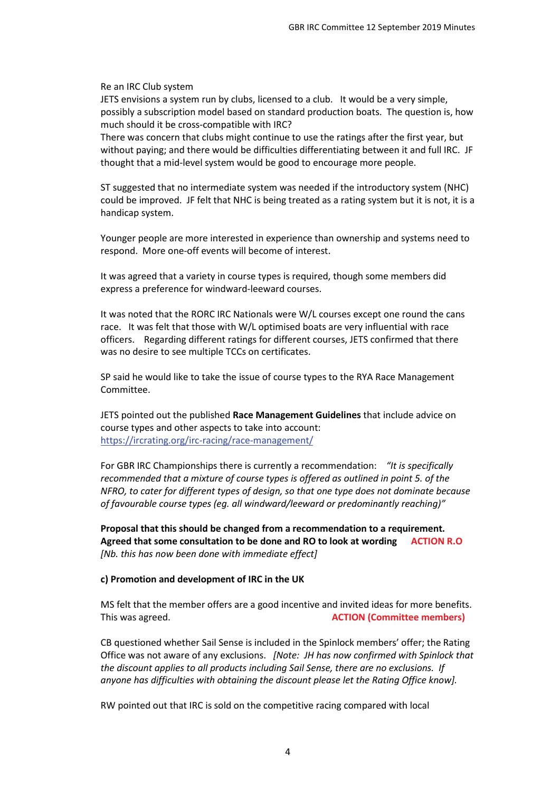Re an IRC Club system

JETS envisions a system run by clubs, licensed to a club. It would be a very simple, possibly a subscription model based on standard production boats. The question is, how much should it be cross-compatible with IRC?

There was concern that clubs might continue to use the ratings after the first year, but without paying; and there would be difficulties differentiating between it and full IRC. JF thought that a mid-level system would be good to encourage more people.

ST suggested that no intermediate system was needed if the introductory system (NHC) could be improved. JF felt that NHC is being treated as a rating system but it is not, it is a handicap system.

Younger people are more interested in experience than ownership and systems need to respond. More one-off events will become of interest.

It was agreed that a variety in course types is required, though some members did express a preference for windward-leeward courses.

It was noted that the RORC IRC Nationals were W/L courses except one round the cans race. It was felt that those with W/L optimised boats are very influential with race officers. Regarding different ratings for different courses, JETS confirmed that there was no desire to see multiple TCCs on certificates.

SP said he would like to take the issue of course types to the RYA Race Management Committee.

JETS pointed out the published **Race Management Guidelines** that include advice on course types and other aspects to take into account: <https://ircrating.org/irc-racing/race-management/>

For GBR IRC Championships there is currently a recommendation: *"It is specifically recommended that a mixture of course types is offered as outlined in point 5. of the NFRO, to cater for different types of design, so that one type does not dominate because of favourable course types (eg. all windward/leeward or predominantly reaching)"*

**Proposal that this should be changed from a recommendation to a requirement. Agreed that some consultation to be done and RO to look at wording ACTION R.O** *[Nb. this has now been done with immediate effect]*

#### **c) Promotion and development of IRC in the UK**

MS felt that the member offers are a good incentive and invited ideas for more benefits. This was agreed. **ACTION (Committee members)**

CB questioned whether Sail Sense is included in the Spinlock members' offer; the Rating Office was not aware of any exclusions. *[Note: JH has now confirmed with Spinlock that the discount applies to all products including Sail Sense, there are no exclusions. If anyone has difficulties with obtaining the discount please let the Rating Office know].*

RW pointed out that IRC is sold on the competitive racing compared with local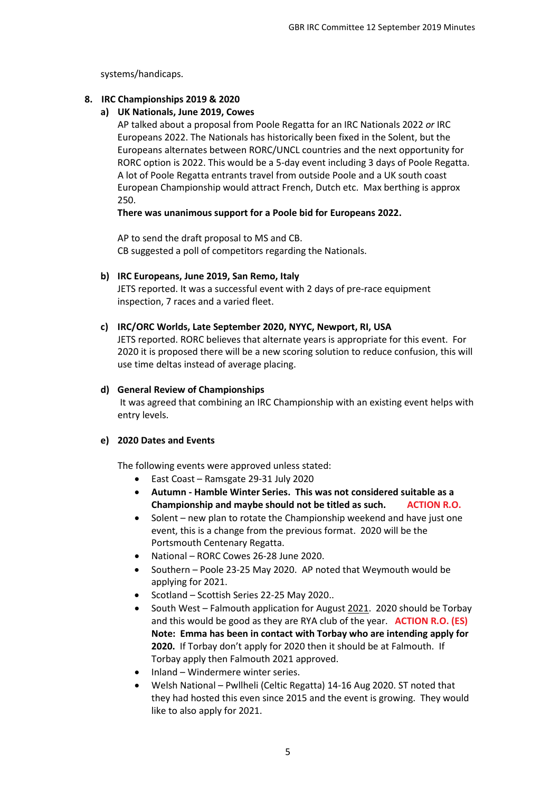systems/handicaps.

## **8. IRC Championships 2019 & 2020**

## **a) UK Nationals, June 2019, Cowes**

AP talked about a proposal from Poole Regatta for an IRC Nationals 2022 *or* IRC Europeans 2022. The Nationals has historically been fixed in the Solent, but the Europeans alternates between RORC/UNCL countries and the next opportunity for RORC option is 2022. This would be a 5-day event including 3 days of Poole Regatta. A lot of Poole Regatta entrants travel from outside Poole and a UK south coast European Championship would attract French, Dutch etc. Max berthing is approx 250.

**There was unanimous support for a Poole bid for Europeans 2022.**

AP to send the draft proposal to MS and CB. CB suggested a poll of competitors regarding the Nationals.

## **b) IRC Europeans, June 2019, San Remo, Italy**

JETS reported. It was a successful event with 2 days of pre-race equipment inspection, 7 races and a varied fleet.

## **c) IRC/ORC Worlds, Late September 2020, NYYC, Newport, RI, USA**

JETS reported. RORC believes that alternate years is appropriate for this event. For 2020 it is proposed there will be a new scoring solution to reduce confusion, this will use time deltas instead of average placing.

## **d) General Review of Championships**

It was agreed that combining an IRC Championship with an existing event helps with entry levels.

#### **e) 2020 Dates and Events**

The following events were approved unless stated:

- East Coast Ramsgate 29-31 July 2020
- **Autumn - Hamble Winter Series. This was not considered suitable as a Championship and maybe should not be titled as such. ACTION R.O.**
- Solent new plan to rotate the Championship weekend and have just one event, this is a change from the previous format. 2020 will be the Portsmouth Centenary Regatta.
- National RORC Cowes 26-28 June 2020.
- Southern Poole 23-25 May 2020. AP noted that Weymouth would be applying for 2021.
- Scotland Scottish Series 22-25 May 2020..
- South West Falmouth application for August 2021. 2020 should be Torbay and this would be good as they are RYA club of the year. **ACTION R.O. (ES) Note: Emma has been in contact with Torbay who are intending apply for 2020.** If Torbay don't apply for 2020 then it should be at Falmouth. If Torbay apply then Falmouth 2021 approved.
- Inland Windermere winter series.
- Welsh National Pwllheli (Celtic Regatta) 14-16 Aug 2020. ST noted that they had hosted this even since 2015 and the event is growing. They would like to also apply for 2021.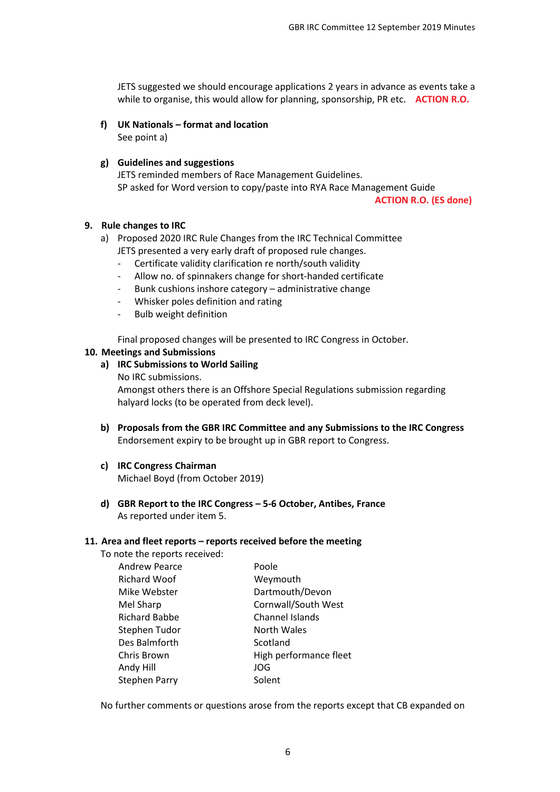JETS suggested we should encourage applications 2 years in advance as events take a while to organise, this would allow for planning, sponsorship, PR etc. **ACTION R.O.** 

## **f) UK Nationals – format and location**

See point a)

## **g) Guidelines and suggestions**

JETS reminded members of Race Management Guidelines. SP asked for Word version to copy/paste into RYA Race Management Guide

**ACTION R.O. (ES done)**

## **9. Rule changes to IRC**

- a) Proposed 2020 IRC Rule Changes from the IRC Technical Committee JETS presented a very early draft of proposed rule changes.
	- Certificate validity clarification re north/south validity
	- Allow no. of spinnakers change for short-handed certificate
	- Bunk cushions inshore category administrative change
	- Whisker poles definition and rating
	- Bulb weight definition

Final proposed changes will be presented to IRC Congress in October.

#### **10. Meetings and Submissions**

## **a) IRC Submissions to World Sailing**

No IRC submissions.

Amongst others there is an Offshore Special Regulations submission regarding halyard locks (to be operated from deck level).

**b) Proposals from the GBR IRC Committee and any Submissions to the IRC Congress** Endorsement expiry to be brought up in GBR report to Congress.

#### **c) IRC Congress Chairman**

Michael Boyd (from October 2019)

**d) GBR Report to the IRC Congress – 5-6 October, Antibes, France** As reported under item 5.

#### **11. Area and fleet reports – reports received before the meeting**

To note the reports received:

| <b>Andrew Pearce</b> | Poole                  |
|----------------------|------------------------|
| <b>Richard Woof</b>  | Weymouth               |
| Mike Webster         | Dartmouth/Devon        |
| Mel Sharp            | Cornwall/South West    |
| <b>Richard Babbe</b> | Channel Islands        |
| Stephen Tudor        | North Wales            |
| Des Balmforth        | Scotland               |
| Chris Brown          | High performance fleet |
| Andy Hill            | <b>JOG</b>             |
| <b>Stephen Parry</b> | Solent                 |
|                      |                        |

No further comments or questions arose from the reports except that CB expanded on